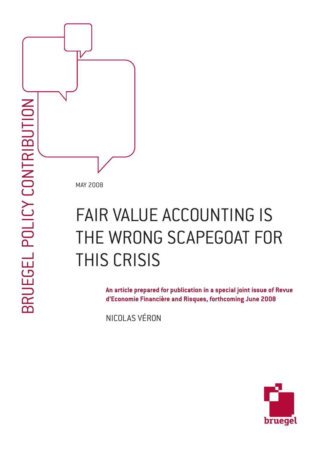

## FAIR VALUE ACCOUNTING IS THE WRONG SCAPEGOAT FOR THIS CRISIS

**An article prepared for publication in a special joint issue of Revue d'Economie Financière and Risques, forthcoming June 2008**

NICOLAS VÉRON

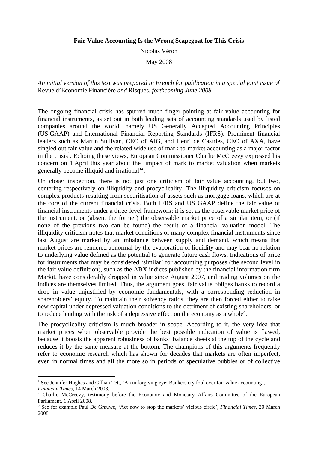**Fair Value Accounting Is the Wrong Scapegoat for This Crisis** 

Nicolas Véron

May 2008

*An initial version of this text was prepared in French for publication in a special joint issue of*  Revue d'Economie Financière *and* Risques*, forthcoming June 2008.* 

The ongoing financial crisis has spurred much finger-pointing at fair value accounting for financial instruments, as set out in both leading sets of accounting standards used by listed companies around the world, namely US Generally Accepted Accounting Principles (US GAAP) and International Financial Reporting Standards (IFRS). Prominent financial leaders such as Martin Sullivan, CEO of AIG, and Henri de Castries, CEO of AXA, have singled out fair value and the related wide use of mark-to-market accounting as a major factor in the crisis<sup>1</sup>. Echoing these views, European Commissioner Charlie McCreevy expressed his concern on 1 April this year about the 'impact of mark to market valuation when markets generally become illiquid and irrational<sup>2</sup>.

On closer inspection, there is not just one criticism of fair value accounting, but two, centering respectively on illiquidity and procyclicality. The illiquidity criticism focuses on complex products resulting from securitisation of assets such as mortgage loans, which are at the core of the current financial crisis. Both IFRS and US GAAP define the fair value of financial instruments under a three-level framework: it is set as the observable market price of the instrument, or (absent the former) the observable market price of a similar item, or (if none of the previous two can be found) the result of a financial valuation model. The illiquidity criticism notes that market conditions of many complex financial instruments since last August are marked by an imbalance between supply and demand, which means that market prices are rendered abnormal by the evaporation of liquidity and may bear no relation to underlying value defined as the potential to generate future cash flows. Indications of price for instruments that may be considered 'similar' for accounting purposes (the second level in the fair value definition), such as the ABX indices published by the financial information firm Markit, have considerably dropped in value since August 2007, and trading volumes on the indices are themselves limited. Thus, the argument goes, fair value obliges banks to record a drop in value unjustified by economic fundamentals, with a corresponding reduction in shareholders' equity. To maintain their solvency ratios, they are then forced either to raise new capital under depressed valuation conditions to the detriment of existing shareholders, or to reduce lending with the risk of a depressive effect on the economy as a whole<sup>3</sup>.

The procyclicality criticism is much broader in scope. According to it, the very idea that market prices when observable provide the best possible indication of value is flawed, because it boosts the apparent robustness of banks' balance sheets at the top of the cycle and reduces it by the same measure at the bottom. The champions of this arguments frequently refer to economic research which has shown for decades that markets are often imperfect, even in normal times and all the more so in periods of speculative bubbles or of collective

<sup>&</sup>lt;sup>1</sup> See Jennifer Hughes and Gillian Tett, 'An unforgiving eye: Bankers cry foul over fair value accounting', *Financial Times*, 14 March 2008.

<sup>&</sup>lt;sup>2</sup> Charlie McCreevy, testimony before the Economic and Monetary Affairs Committee of the European Parliament, 1 April 2008.

<sup>&</sup>lt;sup>3</sup> See for example Paul De Grauwe, 'Act now to stop the markets' vicious circle', *Financial Times*, 20 March 2008.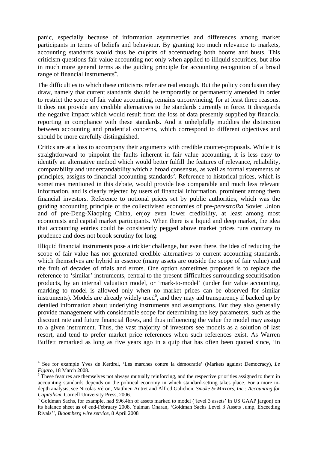panic, especially because of information asymmetries and differences among market participants in terms of beliefs and behaviour. By granting too much relevance to markets, accounting standards would thus be culprits of accentuating both booms and busts. This criticism questions fair value accounting not only when applied to illiquid securities, but also in much more general terms as the guiding principle for accounting recognition of a broad range of financial instruments<sup>4</sup>.

The difficulties to which these criticisms refer are real enough. But the policy conclusion they draw, namely that current standards should be temporarily or permanently amended in order to restrict the scope of fair value accounting, remains unconvincing, for at least three reasons. It does not provide any credible alternatives to the standards currently in force. It disregards the negative impact which would result from the loss of data presently supplied by financial reporting in compliance with these standards. And it unhelpfully muddies the distinction between accounting and prudential concerns, which correspond to different objectives and should be more carefully distinguished.

Critics are at a loss to accompany their arguments with credible counter-proposals. While it is straightforward to pinpoint the faults inherent in fair value accounting, it is less easy to identify an alternative method which would better fulfill the features of relevance, reliability, comparability and understandability which a broad consensus, as well as formal statements of principles, assigns to financial accounting standards<sup>5</sup>. Reference to historical prices, which is sometimes mentioned in this debate, would provide less comparable and much less relevant information, and is clearly rejected by users of financial information, prominent among them financial investors. Reference to notional prices set by public authorities, which was the guiding accounting principle of the collectivised economies of pre-*perestroïka* Soviet Union and of pre-Deng-Xiaoping China, enjoy even lower credibility, at least among most economists and capital market participants. When there is a liquid and deep market, the idea that accounting entries could be consistently pegged above market prices runs contrary to prudence and does not brook scrutiny for long.

Illiquid financial instruments pose a trickier challenge, but even there, the idea of reducing the scope of fair value has not generated credible alternatives to current accounting standards, which themselves are hybrid in essence (many assets are outside the scope of fair value) and the fruit of decades of trials and errors. One option sometimes proposed is to replace the reference to 'similar' instruments, central to the present difficulties surrounding securitisation products, by an internal valuation model, or 'mark-to-model' (under fair value accounting, marking to model is allowed only when no market prices can be observed for similar instruments). Models are already widely used<sup>6</sup>, and they may aid transparency if backed up by detailed information about underlying instruments and assumptions. But they also generally provide management with considerable scope for determining the key parameters, such as the discount rate and future financial flows, and thus influencing the value the model may assign to a given instrument. Thus, the vast majority of investors see models as a solution of last resort, and tend to prefer market price references when such references exist. As Warren Buffett remarked as long as five years ago in a quip that has often been quoted since, 'in

<sup>4</sup> See for example Yves de Kerdrel, 'Les marches contre la démocratie' (Markets against Democracy), *Le Figaro*, 18 March 2008.

<sup>&</sup>lt;sup>5</sup> These features are themselves not always mutually reinforcing, and the respective priorities assigned to them in accounting standards depends on the political economy in which standard-setting takes place. For a more indepth analysis, see Nicolas Véron, Matthieu Autret and Alfred Galichon, *Smoke & Mirrors, Inc.: Accounting for Capitalism*, Cornell University Press, 2006.

<sup>&</sup>lt;sup>6</sup> Goldman Sachs, for example, had \$96.4bn of assets marked to model ('level 3 assets' in US GAAP jargon) on its balance sheet as of end-February 2008. Yalman Onaran, 'Goldman Sachs Level 3 Assets Jump, Exceeding Rivals'', *Bloomberg wire service*, 8 April 2008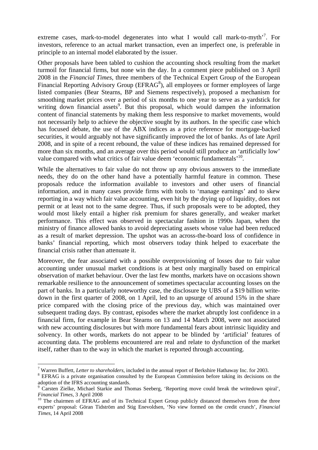extreme cases, mark-to-model degenerates into what I would call mark-to-myth<sup>-7</sup>. For investors, reference to an actual market transaction, even an imperfect one, is preferable in principle to an internal model elaborated by the issuer.

Other proposals have been tabled to cushion the accounting shock resulting from the market turmoil for financial firms, but none win the day. In a comment piece published on 3 April 2008 in the *Financial Times*, three members of the Technical Expert Group of the European Financial Reporting Advisory Group (EFRAG<sup>8</sup>), all employees or former employees of large listed companies (Bear Stearns, BP and Siemens respectively), proposed a mechanism for smoothing market prices over a period of six months to one year to serve as a yardstick for writing down financial assets<sup>9</sup>. But this proposal, which would dampen the information content of financial statements by making them less responsive to market movements, would not necessarily help to achieve the objective sought by its authors. In the specific case which has focused debate, the use of the ABX indices as a price reference for mortgage-backed securities, it would arguably not have significantly improved the lot of banks. As of late April 2008, and in spite of a recent rebound, the value of these indices has remained depressed for more than six months, and an average over this period would still produce an 'artificially low' value compared with what critics of fair value deem 'economic fundamentals'<sup>10</sup>.

While the alternatives to fair value do not throw up any obvious answers to the immediate needs, they do on the other hand have a potentially harmful feature in common. These proposals reduce the information available to investors and other users of financial information, and in many cases provide firms with tools to 'manage earnings' and to skew reporting in a way which fair value accounting, even hit by the drying up of liquidity, does not permit or at least not to the same degree. Thus, if such proposals were to be adopted, they would most likely entail a higher risk premium for shares generally, and weaker market performance. This effect was observed in spectacular fashion in 1990s Japan, when the ministry of finance allowed banks to avoid depreciating assets whose value had been reduced as a result of market depression. The upshot was an across-the-board loss of confidence in banks' financial reporting, which most observers today think helped to exacerbate the financial crisis rather than attenuate it.

Moreover, the fear associated with a possible overprovisioning of losses due to fair value accounting under unusual market conditions is at best only marginally based on empirical observation of market behaviour. Over the last few months, markets have on occasions shown remarkable resilience to the announcement of sometimes spectacular accounting losses on the part of banks. In a particularly noteworthy case, the disclosure by UBS of a \$19 billion writedown in the first quarter of 2008, on 1 April, led to an upsurge of around 15% in the share price compared with the closing price of the previous day, which was maintained over subsequent trading days. By contrast, episodes where the market abruptly lost confidence in a financial firm, for example in Bear Stearns on 13 and 14 March 2008, were not associated with new accounting disclosures but with more fundamental fears about intrinsic liquidity and solvency. In other words, markets do not appear to be blinded by 'artificial' features of accounting data. The problems encountered are real and relate to dysfunction of the market itself, rather than to the way in which the market is reported through accounting.

<u>.</u>

<sup>&</sup>lt;sup>7</sup> Warren Buffett, *Letter to shareholders*, included in the annual report of Berkshire Hathaway Inc. for 2003.

EFRAG is a private organisation consulted by the European Commission before taking its decisions on the adoption of the IFRS accounting standards.

<sup>&</sup>lt;sup>9</sup> Carsten Zielke, Michael Starkie and Thomas Seeberg, 'Reporting move could break the writedown spiral', *Financial Times*, 3 April 2008<br><sup>10</sup> The chairmen of EFRAG and of its Technical Expert Group publicly distanced themselves from the three

experts' proposal: Göran Tidström and Stig Enevoldsen, 'No view formed on the credit crunch', *Financial Times*, 14 April 2008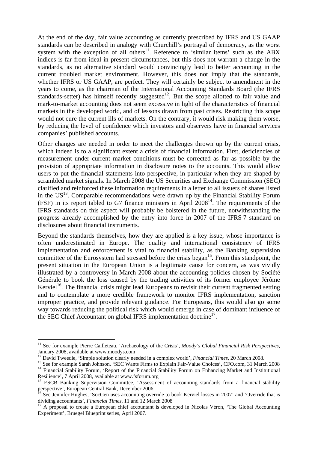At the end of the day, fair value accounting as currently prescribed by IFRS and US GAAP standards can be described in analogy with Churchill's portrayal of democracy, as the worst system with the exception of all others<sup>11</sup>. Reference to 'similar items' such as the ABX indices is far from ideal in present circumstances, but this does not warrant a change in the standards, as no alternative standard would convincingly lead to better accounting in the current troubled market environment. However, this does not imply that the standards, whether IFRS or US GAAP, are perfect. They will certainly be subject to amendment in the years to come, as the chairman of the International Accounting Standards Board (the IFRS standards-setter) has himself recently suggested<sup>12</sup>. But the scope allotted to fair value and mark-to-market accounting does not seem excessive in light of the characteristics of financial markets in the developed world, and of lessons drawn from past crises. Restricting this scope would not cure the current ills of markets. On the contrary, it would risk making them worse, by reducing the level of confidence which investors and observers have in financial services companies' published accounts.

Other changes are needed in order to meet the challenges thrown up by the current crisis, which indeed is to a significant extent a crisis of financial information. First, deficiencies of measurement under current market conditions must be corrected as far as possible by the provision of appropriate information in disclosure notes to the accounts. This would allow users to put the financial statements into perspective, in particular when they are shaped by scrambled market signals. In March 2008 the US Securities and Exchange Commission (SEC) clarified and reinforced these information requirements in a letter to all issuers of shares listed in the  $US<sup>13</sup>$ . Comparable recommendations were drawn up by the Financial Stability Forum (FSF) in its report tabled to G7 finance ministers in April  $2008<sup>14</sup>$ . The requirements of the IFRS standards on this aspect will probably be bolstered in the future, notwithstanding the progress already accomplished by the entry into force in 2007 of the IFRS 7 standard on disclosures about financial instruments.

Beyond the standards themselves, how they are applied is a key issue, whose importance is often underestimated in Europe. The quality and international consistency of IFRS implementation and enforcement is vital to financial stability, as the Banking supervision committee of the Eurosystem had stressed before the crisis began<sup>15</sup>. From this standpoint, the present situation in the European Union is a legitimate cause for concern, as was vividly illustrated by a controversy in March 2008 about the accounting policies chosen by Société Générale to book the loss caused by the trading activities of its former employee Jérôme Kerviel<sup>16</sup>. The financial crisis might lead Europeans to revisit their current fragmented setting and to contemplate a more credible framework to monitor IFRS implementation, sanction improper practice, and provide relevant guidance. For Europeans, this would also go some way towards reducing the political risk which would emerge in case of dominant influence of the SEC Chief Accountant on global IFRS implementation doctrine<sup>17</sup>.

<sup>&</sup>lt;sup>11</sup> See for example Pierre Cailleteau, 'Archaeology of the Crisis', *Moody's Global Financial Risk Perspectives*, January 2008, available at www.moodys.com<br><sup>12</sup> David Tweedie, 'Simple solution clearly needed in a complex world', *Financial Times*, 20 March 2008.

<sup>&</sup>lt;sup>13</sup> See for example Sarah Johnson, 'SEC Wants Firms to Explain Fair-Value Choices', CFO.com, 31 March 2008 <sup>14</sup> Financial Stability Forum, 'Report of the Financial Stability Forum on Enhancing Market and Institutional Resilience', 7 April 2008, available at www.fsforum.org

<sup>&</sup>lt;sup>15</sup> ESCB Banking Supervision Committee, 'Assessment of accounting standards from a financial stability perspective', European Central Bank, December 2006

<sup>&</sup>lt;sup>16</sup> See Jennifer Hughes, 'SocGen uses accounting override to book Kerviel losses in 2007' and 'Override that is dividing accountants', *Financial Times*, 11 and 12 March 2008

<sup>&</sup>lt;sup>17</sup> A proposal to create a European chief accountant is developed in Nicolas Véron, 'The Global Accounting Experiment', Bruegel Blueprint series, April 2007.